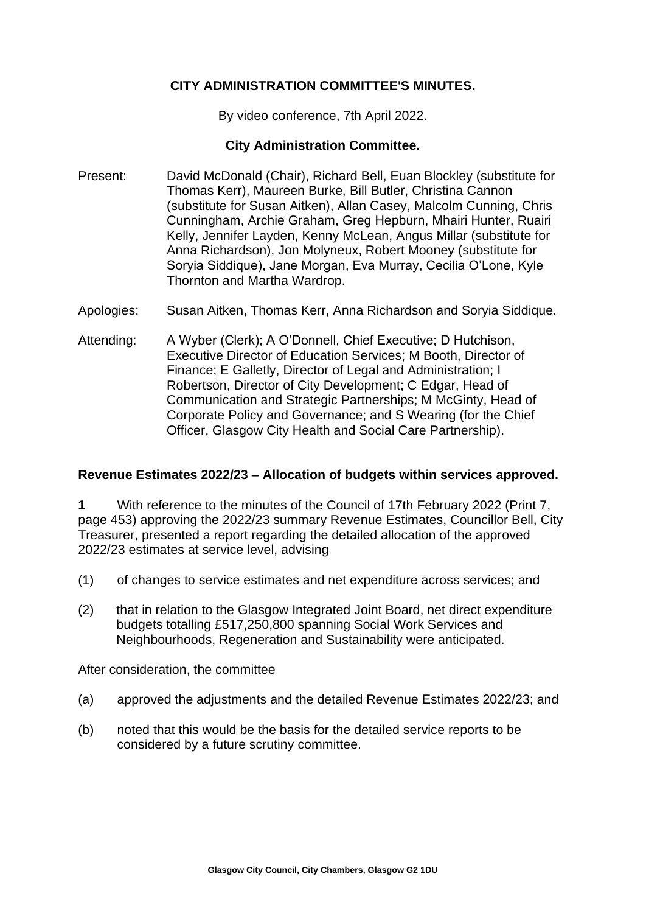# **CITY ADMINISTRATION COMMITTEE'S MINUTES.**

By video conference, 7th April 2022.

## **City Administration Committee.**

- Present: David McDonald (Chair), Richard Bell, Euan Blockley (substitute for Thomas Kerr), Maureen Burke, Bill Butler, Christina Cannon (substitute for Susan Aitken), Allan Casey, Malcolm Cunning, Chris Cunningham, Archie Graham, Greg Hepburn, Mhairi Hunter, Ruairi Kelly, Jennifer Layden, Kenny McLean, Angus Millar (substitute for Anna Richardson), Jon Molyneux, Robert Mooney (substitute for Soryia Siddique), Jane Morgan, Eva Murray, Cecilia O'Lone, Kyle Thornton and Martha Wardrop.
- Apologies: Susan Aitken, Thomas Kerr, Anna Richardson and Soryia Siddique.
- Attending: A Wyber (Clerk); A O'Donnell, Chief Executive; D Hutchison, Executive Director of Education Services; M Booth, Director of Finance; E Galletly, Director of Legal and Administration; I Robertson, Director of City Development; C Edgar, Head of Communication and Strategic Partnerships; M McGinty, Head of Corporate Policy and Governance; and S Wearing (for the Chief Officer, Glasgow City Health and Social Care Partnership).

## **Revenue Estimates 2022/23 – Allocation of budgets within services approved.**

**1** With reference to the minutes of the Council of 17th February 2022 (Print 7, page 453) approving the 2022/23 summary Revenue Estimates, Councillor Bell, City Treasurer, presented a report regarding the detailed allocation of the approved 2022/23 estimates at service level, advising

- (1) of changes to service estimates and net expenditure across services; and
- (2) that in relation to the Glasgow Integrated Joint Board, net direct expenditure budgets totalling £517,250,800 spanning Social Work Services and Neighbourhoods, Regeneration and Sustainability were anticipated.

After consideration, the committee

- (a) approved the adjustments and the detailed Revenue Estimates 2022/23; and
- (b) noted that this would be the basis for the detailed service reports to be considered by a future scrutiny committee.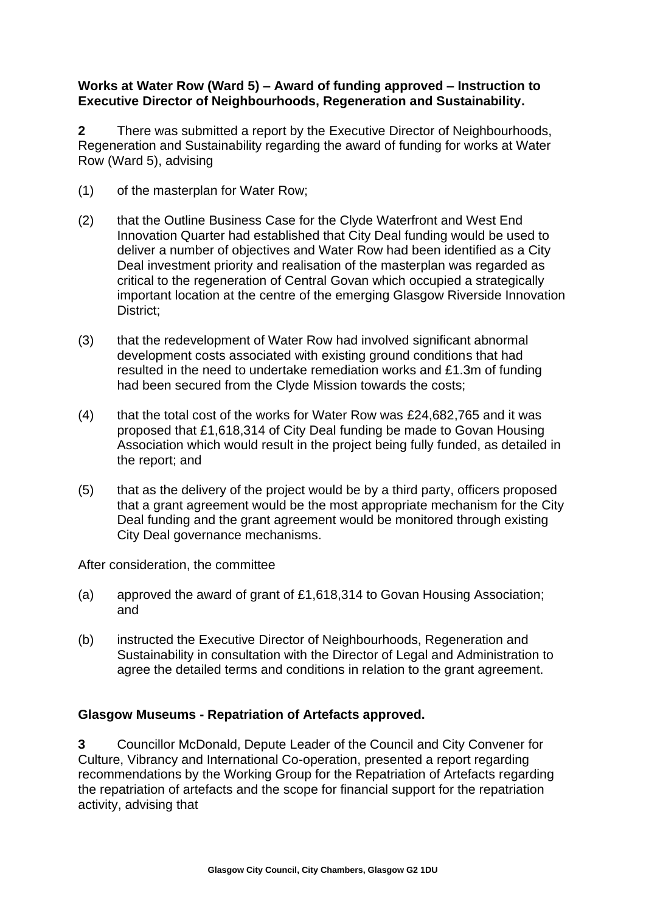# **Works at Water Row (Ward 5) – Award of funding approved – Instruction to Executive Director of Neighbourhoods, Regeneration and Sustainability.**

**2** There was submitted a report by the Executive Director of Neighbourhoods, Regeneration and Sustainability regarding the award of funding for works at Water Row (Ward 5), advising

- (1) of the masterplan for Water Row;
- (2) that the Outline Business Case for the Clyde Waterfront and West End Innovation Quarter had established that City Deal funding would be used to deliver a number of objectives and Water Row had been identified as a City Deal investment priority and realisation of the masterplan was regarded as critical to the regeneration of Central Govan which occupied a strategically important location at the centre of the emerging Glasgow Riverside Innovation District:
- (3) that the redevelopment of Water Row had involved significant abnormal development costs associated with existing ground conditions that had resulted in the need to undertake remediation works and £1.3m of funding had been secured from the Clyde Mission towards the costs;
- (4) that the total cost of the works for Water Row was £24,682,765 and it was proposed that £1,618,314 of City Deal funding be made to Govan Housing Association which would result in the project being fully funded, as detailed in the report; and
- (5) that as the delivery of the project would be by a third party, officers proposed that a grant agreement would be the most appropriate mechanism for the City Deal funding and the grant agreement would be monitored through existing City Deal governance mechanisms.

After consideration, the committee

- (a) approved the award of grant of £1,618,314 to Govan Housing Association; and
- (b) instructed the Executive Director of Neighbourhoods, Regeneration and Sustainability in consultation with the Director of Legal and Administration to agree the detailed terms and conditions in relation to the grant agreement.

## **Glasgow Museums - Repatriation of Artefacts approved.**

**3** Councillor McDonald, Depute Leader of the Council and City Convener for Culture, Vibrancy and International Co-operation, presented a report regarding recommendations by the Working Group for the Repatriation of Artefacts regarding the repatriation of artefacts and the scope for financial support for the repatriation activity, advising that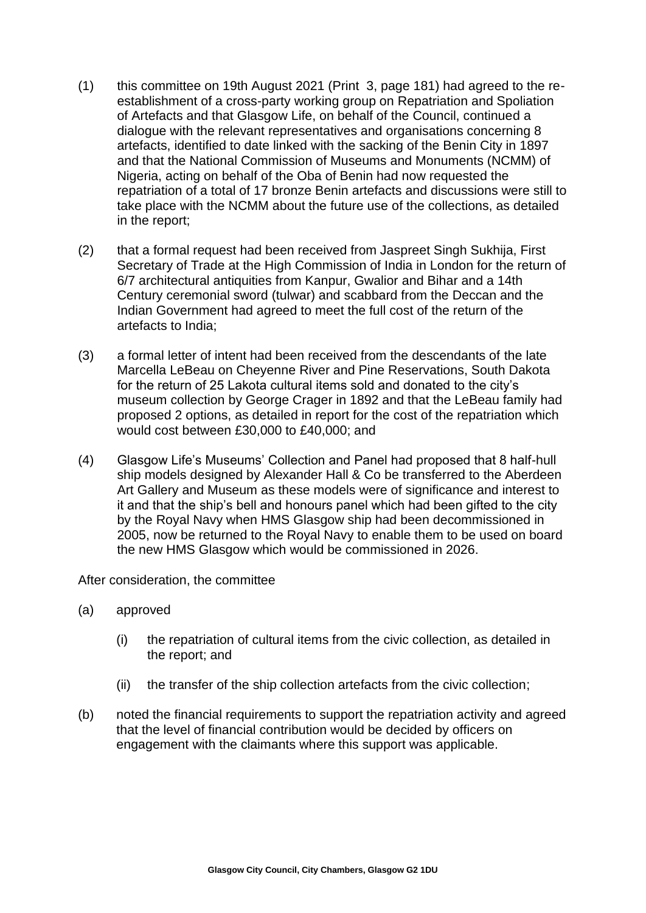- (1) this committee on 19th August 2021 (Print 3, page 181) had agreed to the reestablishment of a cross-party working group on Repatriation and Spoliation of Artefacts and that Glasgow Life, on behalf of the Council, continued a dialogue with the relevant representatives and organisations concerning 8 artefacts, identified to date linked with the sacking of the Benin City in 1897 and that the National Commission of Museums and Monuments (NCMM) of Nigeria, acting on behalf of the Oba of Benin had now requested the repatriation of a total of 17 bronze Benin artefacts and discussions were still to take place with the NCMM about the future use of the collections, as detailed in the report;
- (2) that a formal request had been received from Jaspreet Singh Sukhija, First Secretary of Trade at the High Commission of India in London for the return of 6/7 architectural antiquities from Kanpur, Gwalior and Bihar and a 14th Century ceremonial sword (tulwar) and scabbard from the Deccan and the Indian Government had agreed to meet the full cost of the return of the artefacts to India;
- (3) a formal letter of intent had been received from the descendants of the late Marcella LeBeau on Cheyenne River and Pine Reservations, South Dakota for the return of 25 Lakota cultural items sold and donated to the city's museum collection by George Crager in 1892 and that the LeBeau family had proposed 2 options, as detailed in report for the cost of the repatriation which would cost between £30,000 to £40,000; and
- (4) Glasgow Life's Museums' Collection and Panel had proposed that 8 half-hull ship models designed by Alexander Hall & Co be transferred to the Aberdeen Art Gallery and Museum as these models were of significance and interest to it and that the ship's bell and honours panel which had been gifted to the city by the Royal Navy when HMS Glasgow ship had been decommissioned in 2005, now be returned to the Royal Navy to enable them to be used on board the new HMS Glasgow which would be commissioned in 2026.

After consideration, the committee

- (a) approved
	- (i) the repatriation of cultural items from the civic collection, as detailed in the report; and
	- (ii) the transfer of the ship collection artefacts from the civic collection;
- (b) noted the financial requirements to support the repatriation activity and agreed that the level of financial contribution would be decided by officers on engagement with the claimants where this support was applicable.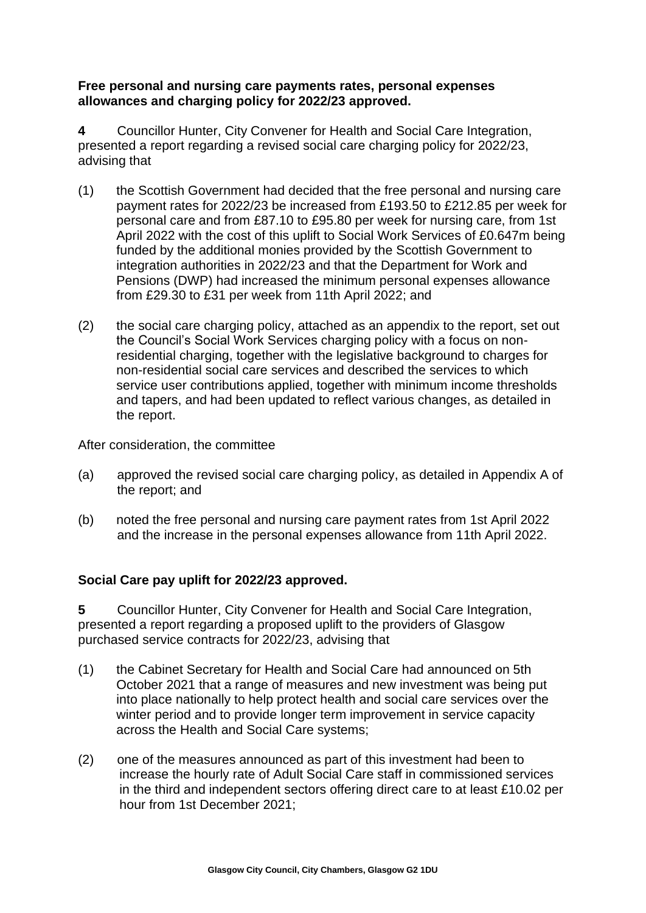# **Free personal and nursing care payments rates, personal expenses allowances and charging policy for 2022/23 approved.**

**4** Councillor Hunter, City Convener for Health and Social Care Integration, presented a report regarding a revised social care charging policy for 2022/23, advising that

- (1) the Scottish Government had decided that the free personal and nursing care payment rates for 2022/23 be increased from £193.50 to £212.85 per week for personal care and from £87.10 to £95.80 per week for nursing care, from 1st April 2022 with the cost of this uplift to Social Work Services of £0.647m being funded by the additional monies provided by the Scottish Government to integration authorities in 2022/23 and that the Department for Work and Pensions (DWP) had increased the minimum personal expenses allowance from £29.30 to £31 per week from 11th April 2022; and
- (2) the social care charging policy, attached as an appendix to the report, set out the Council's Social Work Services charging policy with a focus on nonresidential charging, together with the legislative background to charges for non-residential social care services and described the services to which service user contributions applied, together with minimum income thresholds and tapers, and had been updated to reflect various changes, as detailed in the report.

After consideration, the committee

- (a) approved the revised social care charging policy, as detailed in Appendix A of the report; and
- (b) noted the free personal and nursing care payment rates from 1st April 2022 and the increase in the personal expenses allowance from 11th April 2022.

# **Social Care pay uplift for 2022/23 approved.**

**5** Councillor Hunter, City Convener for Health and Social Care Integration, presented a report regarding a proposed uplift to the providers of Glasgow purchased service contracts for 2022/23, advising that

- (1) the Cabinet Secretary for Health and Social Care had announced on 5th October 2021 that a range of measures and new investment was being put into place nationally to help protect health and social care services over the winter period and to provide longer term improvement in service capacity across the Health and Social Care systems;
- (2) one of the measures announced as part of this investment had been to increase the hourly rate of Adult Social Care staff in commissioned services in the third and independent sectors offering direct care to at least £10.02 per hour from 1st December 2021;